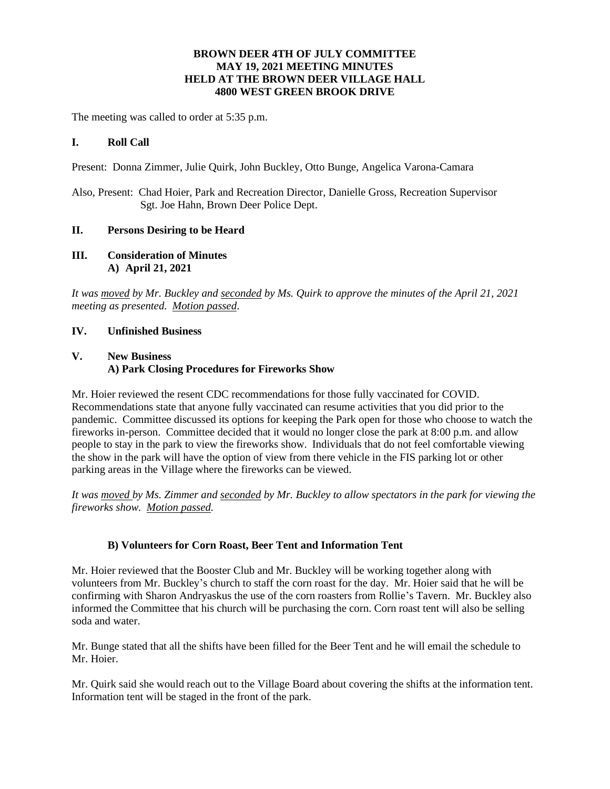## **BROWN DEER 4TH OF JULY COMMITTEE MAY 19, 2021 MEETING MINUTES HELD AT THE BROWN DEER VILLAGE HALL 4800 WEST GREEN BROOK DRIVE**

The meeting was called to order at 5:35 p.m.

#### **I. Roll Call**

Present: Donna Zimmer, Julie Quirk, John Buckley, Otto Bunge, Angelica Varona-Camara

Also, Present: Chad Hoier, Park and Recreation Director, Danielle Gross, Recreation Supervisor Sgt. Joe Hahn, Brown Deer Police Dept.

#### **II. Persons Desiring to be Heard**

**III. Consideration of Minutes A) April 21, 2021**

*It was moved by Mr. Buckley and seconded by Ms. Quirk to approve the minutes of the April 21, 2021 meeting as presented. Motion passed*.

#### **IV. Unfinished Business**

## **V. New Business A) Park Closing Procedures for Fireworks Show**

Mr. Hoier reviewed the resent CDC recommendations for those fully vaccinated for COVID. Recommendations state that anyone fully vaccinated can resume activities that you did prior to the pandemic. Committee discussed its options for keeping the Park open for those who choose to watch the fireworks in-person. Committee decided that it would no longer close the park at 8:00 p.m. and allow people to stay in the park to view the fireworks show. Individuals that do not feel comfortable viewing the show in the park will have the option of view from there vehicle in the FIS parking lot or other parking areas in the Village where the fireworks can be viewed.

*It was moved by Ms. Zimmer and seconded by Mr. Buckley to allow spectators in the park for viewing the fireworks show. Motion passed.*

### **B) Volunteers for Corn Roast, Beer Tent and Information Tent**

Mr. Hoier reviewed that the Booster Club and Mr. Buckley will be working together along with volunteers from Mr. Buckley's church to staff the corn roast for the day. Mr. Hoier said that he will be confirming with Sharon Andryaskus the use of the corn roasters from Rollie's Tavern. Mr. Buckley also informed the Committee that his church will be purchasing the corn. Corn roast tent will also be selling soda and water.

Mr. Bunge stated that all the shifts have been filled for the Beer Tent and he will email the schedule to Mr. Hoier.

Mr. Quirk said she would reach out to the Village Board about covering the shifts at the information tent. Information tent will be staged in the front of the park.